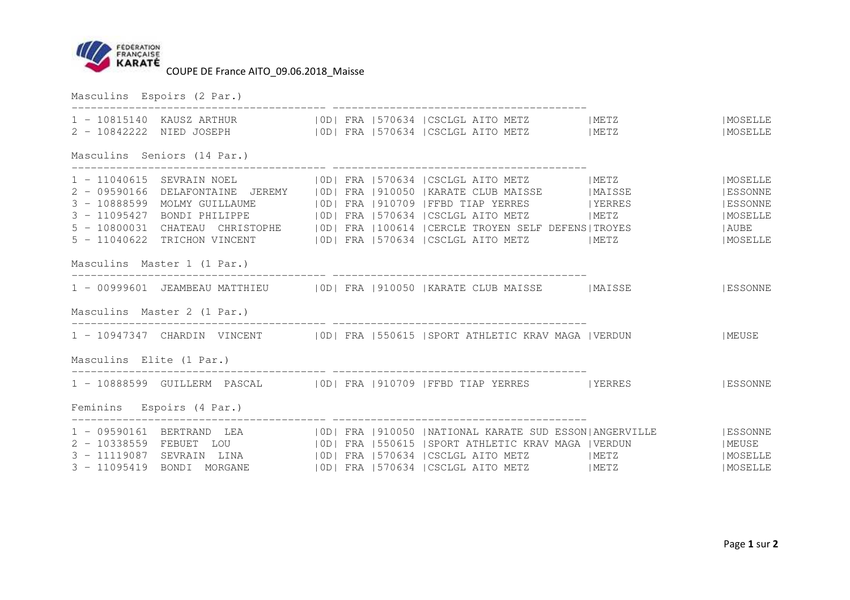

|                          | Masculins Espoirs (2 Par.)                                                         |  |                                                                                                                                                                                                                                                                                                                                                                                                                                                                                                        |                                                             |
|--------------------------|------------------------------------------------------------------------------------|--|--------------------------------------------------------------------------------------------------------------------------------------------------------------------------------------------------------------------------------------------------------------------------------------------------------------------------------------------------------------------------------------------------------------------------------------------------------------------------------------------------------|-------------------------------------------------------------|
|                          |                                                                                    |  | 1 - 10815140 KAUSZ ARTHUR   OD  FRA   570634   CSCLGL AITO METZ   METZ   METZ   MOSELLE<br>2 - 10842222 NIED JOSEPH   0D  FRA   570634   CSCLGL AITO METZ   METZ                                                                                                                                                                                                                                                                                                                                       | MOSELLE                                                     |
|                          | Masculins Seniors (14 Par.)                                                        |  |                                                                                                                                                                                                                                                                                                                                                                                                                                                                                                        |                                                             |
|                          |                                                                                    |  | 1 - 11040615 SEVRAIN NOEL   0D  FRA   570634   CSCLGL AITO METZ   METZ<br>2 - 09590166 DELAFONTAINE JEREMY   OD  FRA   910050   KARATE CLUB MAISSE   MAISSE<br>3 - 10888599 MOLMY GUILLAUME   0D  FRA   910709   FFBD TIAP YERRES   YERRES<br>3 - 11095427 BONDI PHILIPPE   OD  FRA   570634   CSCLGL AITO METZ   METZ<br>5 - 10800031 CHATEAU CHRISTOPHE   OD  FRA   100614   CERCLE TROYEN SELF DEFENS  TROYES     AUBE<br>5 - 11040622 TRICHON VINCENT   OD  FRA   570634   CSCLGL AITO METZ   METZ | MOSELLE<br>  ESSONNE<br>  ESSONNE<br>  MOSELLE<br>  MOSELLE |
|                          | Masculins Master 1 (1 Par.)                                                        |  |                                                                                                                                                                                                                                                                                                                                                                                                                                                                                                        |                                                             |
|                          |                                                                                    |  | 1 - 00999601 JEAMBEAU MATTHIEU   OD  FRA   910050   KARATE CLUB MAISSE   MAISSE     ESSONNE                                                                                                                                                                                                                                                                                                                                                                                                            |                                                             |
|                          | Masculins Master 2 (1 Par.)                                                        |  |                                                                                                                                                                                                                                                                                                                                                                                                                                                                                                        |                                                             |
|                          |                                                                                    |  | 1 - 10947347 CHARDIN VINCENT   OD  FRA   550615   SPORT ATHLETIC KRAV MAGA   VERDUN   MEUSE                                                                                                                                                                                                                                                                                                                                                                                                            |                                                             |
| Masculins Elite (1 Par.) |                                                                                    |  |                                                                                                                                                                                                                                                                                                                                                                                                                                                                                                        |                                                             |
|                          |                                                                                    |  | 1 - 10888599 GUILLERM PASCAL   OD  FRA   910709   FFBD TIAP YERRES   YERRES   ESSONNE                                                                                                                                                                                                                                                                                                                                                                                                                  |                                                             |
|                          | Feminins Espoirs (4 Par.)                                                          |  |                                                                                                                                                                                                                                                                                                                                                                                                                                                                                                        |                                                             |
|                          | 2 - 10338559 FEBUET LOU<br>3 - 11119087 SEVRAIN LINA<br>3 - 11095419 BONDI MORGANE |  | 1 - 09590161 BERTRAND LEA   0D  FRA   910050   NATIONAL KARATE SUD ESSON ANGERVILLE   ESSONNE<br>  OD  FRA   550615   SPORT ATHLETIC KRAV MAGA   VERDUN<br>  OD   FRA   570634   CSCLGL AITO METZ   METZ<br>  OD   FRA   570634   CSCLGL AITO METZ   METZ                                                                                                                                                                                                                                              | MEUSE<br>IMOSELLE<br>IMOSELLE                               |